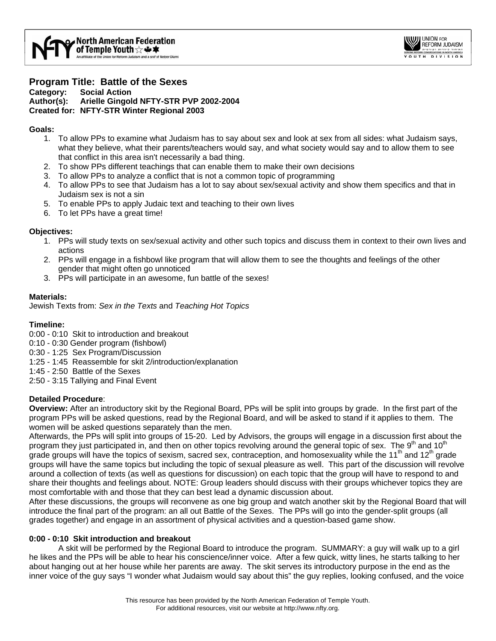

## **Program Title: Battle of the Sexes Category: Social Action Author(s): Arielle Gingold NFTY-STR PVP 2002-2004 Created for: NFTY-STR Winter Regional 2003**

### **Goals:**

- 1. To allow PPs to examine what Judaism has to say about sex and look at sex from all sides: what Judaism says, what they believe, what their parents/teachers would say, and what society would say and to allow them to see that conflict in this area isn't necessarily a bad thing.
- 2. To show PPs different teachings that can enable them to make their own decisions
- 3. To allow PPs to analyze a conflict that is not a common topic of programming
- 4. To allow PPs to see that Judaism has a lot to say about sex/sexual activity and show them specifics and that in Judaism sex is not a sin
- 5. To enable PPs to apply Judaic text and teaching to their own lives
- 6. To let PPs have a great time!

### **Objectives:**

- 1. PPs will study texts on sex/sexual activity and other such topics and discuss them in context to their own lives and actions
- 2. PPs will engage in a fishbowl like program that will allow them to see the thoughts and feelings of the other gender that might often go unnoticed
- 3. PPs will participate in an awesome, fun battle of the sexes!

### **Materials:**

Jewish Texts from: *Sex in the Texts* and *Teaching Hot Topics* 

## **Timeline:**

- 0:00 0:10 Skit to introduction and breakout
- 0:10 0:30 Gender program (fishbowl)
- 0:30 1:25 Sex Program/Discussion
- 1:25 1:45 Reassemble for skit 2/introduction/explanation
- 1:45 2:50 Battle of the Sexes

2:50 - 3:15 Tallying and Final Event

# **Detailed Procedure**:

**Overview:** After an introductory skit by the Regional Board, PPs will be split into groups by grade. In the first part of the program PPs will be asked questions, read by the Regional Board, and will be asked to stand if it applies to them. The women will be asked questions separately than the men.

Afterwards, the PPs will split into groups of 15-20. Led by Advisors, the groups will engage in a discussion first about the program they just participated in, and then on other topics revolving around the general topic of sex. The  $9<sup>th</sup>$  and 10<sup>th</sup> grade groups will have the topics of sexism, sacred sex, contraception, and homosexuality while the 11<sup>th</sup> and 12<sup>th</sup> grade groups will have the same topics but including the topic of sexual pleasure as well. This part of the discussion will revolve around a collection of texts (as well as questions for discussion) on each topic that the group will have to respond to and share their thoughts and feelings about. NOTE: Group leaders should discuss with their groups whichever topics they are most comfortable with and those that they can best lead a dynamic discussion about.

After these discussions, the groups will reconvene as one big group and watch another skit by the Regional Board that will introduce the final part of the program: an all out Battle of the Sexes. The PPs will go into the gender-split groups (all grades together) and engage in an assortment of physical activities and a question-based game show.

# **0:00 - 0:10 Skit introduction and breakout**

 A skit will be performed by the Regional Board to introduce the program. SUMMARY: a guy will walk up to a girl he likes and the PPs will be able to hear his conscience/inner voice. After a few quick, witty lines, he starts talking to her about hanging out at her house while her parents are away. The skit serves its introductory purpose in the end as the inner voice of the guy says "I wonder what Judaism would say about this" the guy replies, looking confused, and the voice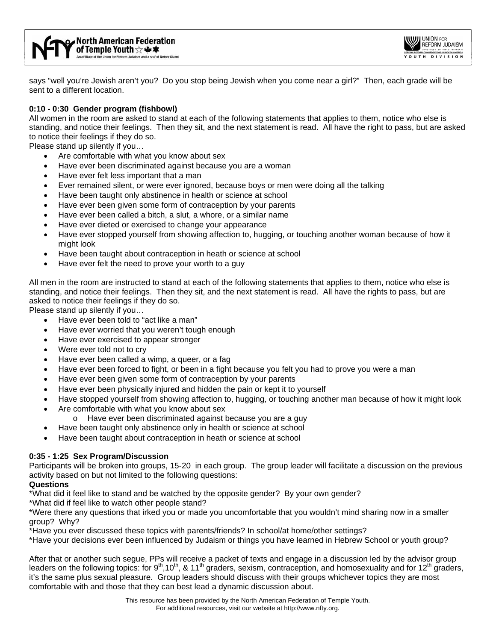

says "well you're Jewish aren't you? Do you stop being Jewish when you come near a girl?" Then, each grade will be sent to a different location.

# **0:10 - 0:30 Gender program (fishbowl)**

All women in the room are asked to stand at each of the following statements that applies to them, notice who else is standing, and notice their feelings. Then they sit, and the next statement is read. All have the right to pass, but are asked to notice their feelings if they do so.

Please stand up silently if you…

- Are comfortable with what you know about sex
- Have ever been discriminated against because you are a woman
- Have ever felt less important that a man
- Ever remained silent, or were ever ignored, because boys or men were doing all the talking
- Have been taught only abstinence in health or science at school
- Have ever been given some form of contraception by your parents
- Have ever been called a bitch, a slut, a whore, or a similar name
- Have ever dieted or exercised to change your appearance
- Have ever stopped yourself from showing affection to, hugging, or touching another woman because of how it might look
- Have been taught about contraception in heath or science at school
- Have ever felt the need to prove your worth to a guy

All men in the room are instructed to stand at each of the following statements that applies to them, notice who else is standing, and notice their feelings. Then they sit, and the next statement is read. All have the rights to pass, but are asked to notice their feelings if they do so.

Please stand up silently if you…

- Have ever been told to "act like a man"
- Have ever worried that you weren't tough enough
- Have ever exercised to appear stronger
- Were ever told not to cry
- Have ever been called a wimp, a queer, or a fag
- Have ever been forced to fight, or been in a fight because you felt you had to prove you were a man
- Have ever been given some form of contraception by your parents
- Have ever been physically injured and hidden the pain or kept it to yourself
- Have stopped yourself from showing affection to, hugging, or touching another man because of how it might look
- Are comfortable with what you know about sex
	- o Have ever been discriminated against because you are a guy
- Have been taught only abstinence only in health or science at school
- Have been taught about contraception in heath or science at school

# **0:35 - 1:25 Sex Program/Discussion**

Participants will be broken into groups, 15-20 in each group. The group leader will facilitate a discussion on the previous activity based on but not limited to the following questions:

#### **Questions**

\*What did it feel like to stand and be watched by the opposite gender? By your own gender?

\*What did if feel like to watch other people stand?

\*Were there any questions that irked you or made you uncomfortable that you wouldn't mind sharing now in a smaller group? Why?

\*Have you ever discussed these topics with parents/friends? In school/at home/other settings?

\*Have your decisions ever been influenced by Judaism or things you have learned in Hebrew School or youth group?

After that or another such segue, PPs will receive a packet of texts and engage in a discussion led by the advisor group leaders on the following topics: for  $9<sup>th</sup>$ ,10<sup>th</sup>, & 11<sup>th</sup> graders, sexism, contraception, and homosexuality and for 12<sup>th</sup> graders, it's the same plus sexual pleasure. Group leaders should discuss with their groups whichever topics they are most comfortable with and those that they can best lead a dynamic discussion about.